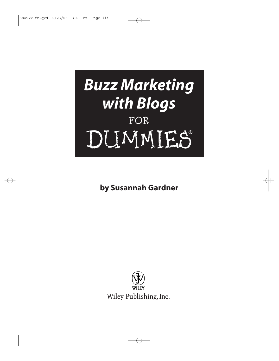# *Buzz Marketing with Blogs* FOR DUMMIES®

**by Susannah Gardner**

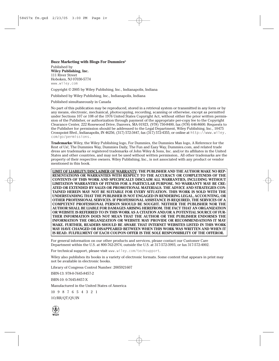**Buzz Marketing with Blogs For Dummies®** Published by **Wiley Publishing, Inc.** 111 River Street Hoboken, NJ 07030-5774 www.wiley.com

Copyright © 2005 by Wiley Publishing, Inc., Indianapolis, Indiana

Published by Wiley Publishing, Inc., Indianapolis, Indiana

Published simultaneously in Canada

No part of this publication may be reproduced, stored in a retrieval system or transmitted in any form or by any means, electronic, mechanical, photocopying, recording, scanning or otherwise, except as permitted under Sections 107 or 108 of the 1976 United States Copyright Act, without either the prior written permission of the Publisher, or authorization through payment of the appropriate per-copy fee to the Copyright Clearance Center, 222 Rosewood Drive, Danvers, MA 01923, (978) 750-8400, fax (978) 646-8600. Requests to the Publisher for permission should be addressed to the Legal Department, Wiley Publishing, Inc., 10475 Crosspoint Blvd., Indianapolis, IN 46256, (317) 572-3447, fax (317) 572-4355, or online at http://www.wiley. com/go/permissions.

**Trademarks:** Wiley, the Wiley Publishing logo, For Dummies, the Dummies Man logo, A Reference for the Rest of Us!, The Dummies Way, Dummies Daily, The Fun and Easy Way, Dummies.com, and related trade dress are trademarks or registered trademarks of John Wiley & Sons, Inc. and/or its affiliates in the United States and other countries, and may not be used without written permission.. All other trademarks are the property of their respective owners. Wiley Publishing, Inc., is not associated with any product or vendor mentioned in this book.

**LIMIT OF LIABILITY/DISCLAIMER OF WARRANTY: THE PUBLISHER AND THE AUTHOR MAKE NO REP-RESENTATIONS OR WARRANTIES WITH RESPECT TO THE ACCURACY OR COMPLETENESS OF THE CONTENTS OF THIS WORK AND SPECIFICALLY DISCLAIM ALL WARRANTIES, INCLUDING WITHOUT LIMITATION WARRANTIES OF FITNESS FOR A PARTICULAR PURPOSE. NO WARRANTY MAY BE CRE-ATED OR EXTENDED BY SALES OR PROMOTIONAL MATERIALS. THE ADVICE AND STRATEGIES CON-TAINED HEREIN MAY NOT BE SUITABLE FOR EVERY SITUATION. THIS WORK IS SOLD WITH THE UNDERSTANDING THAT THE PUBLISHER IS NOT ENGAGED IN RENDERING LEGAL, ACCOUNTING, OR OTHER PROFESSIONAL SERVICES. IF PROFESSIONAL ASSISTANCE IS REQUIRED, THE SERVICES OF A COMPETENT PROFESSIONAL PERSON SHOULD BE SOUGHT. NEITHER THE PUBLISHER NOR THE AUTHOR SHALL BE LIABLE FOR DAMAGES ARISING HEREFROM. THE FACT THAT AN ORGANIZATION OR WEBSITE IS REFERRED TO IN THIS WORK AS A CITATION AND/OR A POTENTIAL SOURCE OF FUR-THER INFORMATION DOES NOT MEAN THAT THE AUTHOR OR THE PUBLISHER ENDORSES THE INFORMATION THE ORGANIZATION OR WEBSITE MAY PROVIDE OR RECOMMENDATIONS IT MAY MAKE. FURTHER, READERS SHOULD BE AWARE THAT INTERNET WEBSITES LISTED IN THIS WORK MAY HAVE CHANGED OR DISAPPEARED BETWEEN WHEN THIS WORK WAS WRITTEN AND WHEN IT IS READ. FULFILLMENT OF EACH COUPON OFFER IS THE SOLE RESPONSIBILITY OF THE OFFEROR.**

For general information on our other products and services, please contact our Customer Care Department within the U.S. at 800-762-2974, outside the U.S. at 317-572-3993, or fax 317-572-4002.

For technical support, please visit www.wiley.com/techsupport.

Wiley also publishes its books in a variety of electronic formats. Some content that appears in print may not be available in electronic books.

Library of Congress Control Number: 2005921607

ISBN-13: 978-0-7645-8457-2

ISBN-10: 0-7645-8457-X

Manufactured in the United States of America

10 9 8 7 6 5 4 3 2 1 1O/RR/QT/QV/IN

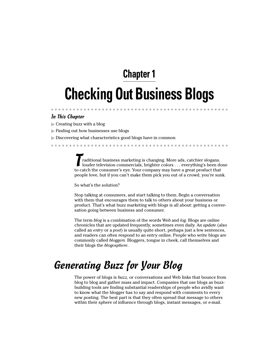#### In This Chapter

- $\triangleright$  Creating buzz with a blog
- Finding out how businesses use blogs
- Discovering what characteristics good blogs have in common

Traditional business marketing is changing. More ads, catchier slogans,<br>louder television commercials, brighter colors . . . everything's been d<br>to catch the consumer's eve. Your company may have a great product that louder television commercials, brighter colors . . . everything's been done to catch the consumer's eye. Your company may have a great product that people love, but if you can't make them pick you out of a crowd, you're sunk.

So what's the solution?

Stop talking at consumers, and start talking to them. Begin a conversation with them that encourages them to talk to others about your business or product. That's what buzz marketing with blogs is all about: getting a conversation going between business and consumer.

The term *blog* is a combination of the words We*b* and *log.* Blogs are online chronicles that are updated frequently, sometimes even daily. An *update* (also called an *entry* or a *post*) is usually quite short, perhaps just a few sentences, and readers can often respond to an entry online. People who write blogs are commonly called *bloggers.* Bloggers, tongue in cheek, call themselves and their blogs the *blogosphere*.

# Generating Buzz for Your Blog

The power of blogs is *buzz,* or conversations and Web links that bounce from blog to blog and gather mass and impact. Companies that use blogs as buzzbuilding tools are finding substantial readerships of people who avidly want to know what the blogger has to say and respond with comments to every new posting. The best part is that they often spread that message to others within their sphere of influence through blogs, instant messages, or e-mail.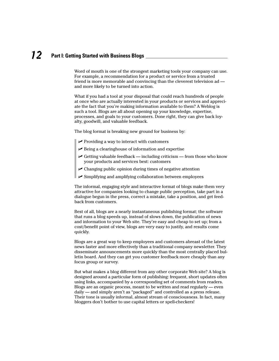Word of mouth is one of the strongest marketing tools your company can use. For example, a recommendation for a product or service from a trusted friend is more memorable and convincing than the cleverest television ad and more likely to be turned into action.

What if you had a tool at your disposal that could reach hundreds of people at once who are actually interested in your products or services and appreciate the fact that you're making information available to them? A Weblog is such a tool. Blogs are all about opening up your knowledge, expertise, processes, and goals to your customers. Done right, they can give back loyalty, goodwill, and valuable feedback.

The blog format is breaking new ground for business by:

- $\blacktriangleright$  Providing a way to interact with customers
- $\blacktriangleright$  Being a clearinghouse of information and expertise
- Getting valuable feedback including criticism from those who know your products and services best: customers
- $\blacktriangleright$  Changing public opinion during times of negative attention
- $\blacktriangleright$  Simplifying and amplifying collaboration between employees

The informal, engaging style and interactive format of blogs make them very attractive for companies looking to change public perception, take part in a dialogue begun in the press, correct a mistake, take a position, and get feedback from customers.

Best of all, blogs are a nearly instantaneous publishing format; the software that runs a blog speeds up, instead of slows down, the publication of news and information to your Web site. They're easy and cheap to set up; from a cost/benefit point of view, blogs are very easy to justify, and results come quickly.

Blogs are a great way to keep employees and customers abreast of the latest news faster and more effectively than a traditional company newsletter. They disseminate announcements more quickly than the most centrally placed bulletin board. And they can get you customer feedback more cheaply than any focus group or survey.

But what makes a blog different from any other corporate Web site? A blog is designed around a particular form of publishing: frequent, short updates often using links, accompanied by a corresponding set of comments from readers. Blogs are an organic process, meant to be written and read regularly — even daily — and simply aren't as "packaged" and controlled as a press release. Their tone is usually informal, almost stream of consciousness. In fact, many bloggers don't bother to use capital letters or spell-checkers!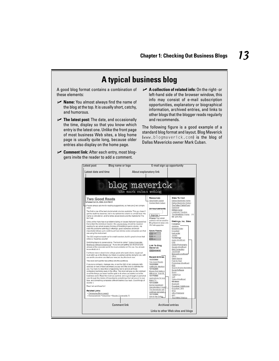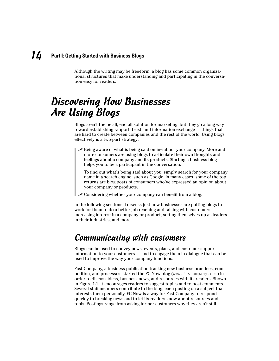Although the writing may be free-form, a blog has some common organizational structures that make understanding and participating in the conversation easy for readers.

# Discovering How Businesses Are Using Blogs

Blogs aren't the be-all, end-all solution for marketing, but they go a long way toward establishing rapport, trust, and information exchange — things that are hard to create between companies and the rest of the world. Using blogs effectively is a two-part strategy:

 $\blacktriangleright$  Being aware of what is being said online about your company. More and more consumers are using blogs to articulate their own thoughts and feelings about a company and its products. Starting a business blog helps you to be a participant in the conversation.

To find out what's being said about you, simply search for your company name in a search engine, such as Google. In many cases, some of the top returns are blog posts of consumers who've expressed an opinion about your company or products.

 $\blacktriangleright$  Considering whether your company can benefit from a blog.

In the following sections, I discuss just how businesses are putting blogs to work for them to do a better job reaching and talking with customers, increasing interest in a company or product, setting themselves up as leaders in their industries, and more.

#### Communicating with customers

Blogs can be used to convey news, events, plans, and customer support information to your customers — and to engage them in dialogue that can be used to improve the way your company functions.

Fast Company, a business publication tracking new business practices, competition, and processes, started the FC Now blog (www.fascompany.com) in order to discuss ideas, business news, and resources with its readers. Shown in Figure 1-1, it encourages readers to suggest topics and to post comments. Several staff members contribute to the blog, each posting on a subject that interests them personally. FC Now is a way for Fast Company to respond quickly to breaking news and to let its readers know about resources and tools. Postings range from asking former customers why they aren't still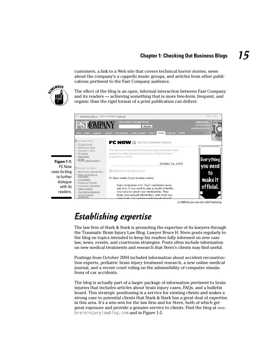customers, a link to a Web site that covers technical horror stories, news about the company's *a cappella* music groups, and articles from other publications pertinent to the Fast Company audience.



The effect of the blog is an open, informal interaction between Fast Company and its readers — achieving something that is more free-form, frequent, and organic than the rigid format of a print publication can deliver.



*(c) 2005 Gruner and Jahr USA Publishing*

# Establishing expertise

The law firm of Stark & Stark is promoting the expertise of its lawyers through the Traumatic Brain Injury Law Blog. Lawyer Bruce H. Stern posts regularly to the blog on topics intended to keep his readers fully informed on new case law, news, events, and courtroom strategies. Posts often include information on new medical treatments and research that Stern's clients may find useful.

Postings from October 2004 included information about accident reconstruction experts, pediatric brain injury treatment research, a new online medical journal, and a recent court ruling on the admissibility of computer simulations of car accidents.

The blog is actually part of a larger package of information pertinent to brain injuries that includes articles about brain injury cases, FAQs, and a bulletin board. This strategic positioning is a service for existing clients and makes a strong case to potential clients that Stark & Stark has a great deal of expertise in this area. It's a win–win for the law firm and for Stern, both of which get great exposure and provide a genuine service to clients. Find the blog at www. braininjurylawblog.com and in Figure 1-2.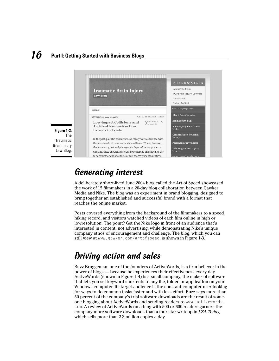

#### Generating interest

A deliberately short-lived June 2004 blog called the Art of Speed showcased the work of 15 filmmakers in a 20-day blog collaboration between Gawker Media and Nike. The blog was an experiment in brand blogging, designed to bring together an established and successful brand with a format that reaches the online market.

Posts covered everything from the background of the filmmakers to a speed hiking record, and visitors watched videos of each film online in high or lowresolution. The point? Get the Nike logo in front of an audience that's interested in content, not advertising, while demonstrating Nike's unique company ethos of encouragement and challenge. The blog, which you can still view at www.gawker.com/artofspeed, is shown in Figure 1-3.

# Driving action and sales

Buzz Bruggeman, one of the founders of ActiveWords, is a firm believer in the power of blogs — because he experiences their effectiveness every day. ActiveWords (shown in Figure 1-4) is a small company, the maker of software that lets you set keyword shortcuts to any file, folder, or application on your Windows computer. Its target audience is the constant computer user looking for ways to do common tasks faster and with less effort. Buzz says more than 50 percent of the company's trial software downloads are the result of someone blogging about ActiveWords and sending readers to www.activewords. com. A review of ActiveWords on a blog with 500 or 600 readers garners the company more software downloads than a four-star writeup in *USA Today,* which sells more than 2.3 million copies a day.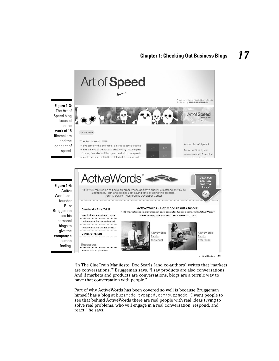

*ActiveWords – US* ™

"In The ClueTrain Manifesto, Doc Searls [and co-authors] writes that 'markets are conversations,'" Bruggeman says. "I say products are also conversations. And if markets and products are conversations, blogs are a terrific way to have that conversation with people."

Part of why ActiveWords has been covered so well is because Bruggeman himself has a blog at buzzmodo.typepad.com/buzzmodo. "I want people to see that behind ActiveWords there are real people with real ideas trying to solve real problems, who will engage in a real conversation, respond, and react," he says.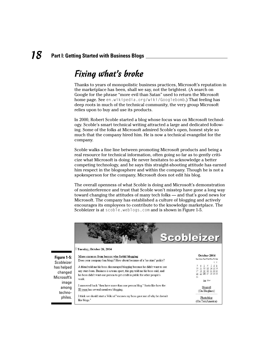# Fixing what's broke

Thanks to years of monopolistic business practices, Microsoft's reputation in the marketplace has been, shall we say, not the brightest. (A search on Google for the phrase "more evil than Satan" used to return the Microsoft home page. See en.wikipedia.org/wiki/Googlebomb.) That feeling has deep roots in much of the technical community, the very group Microsoft relies upon to buy and use its products.

In 2000, Robert Scoble started a blog whose focus was on Microsoft technology. Scoble's smart technical writing attracted a large and dedicated following. Some of the folks at Microsoft admired Scoble's open, honest style so much that the company hired him. He is now a technical evangelist for the company.

Scoble walks a fine line between promoting Microsoft products and being a real resource for technical information, often going so far as to gently criticize what Microsoft is doing. He never hesitates to acknowledge a better competing technology, and he says this straight-shooting attitude has earned him respect in the blogosphere and within the company. Though he is not a spokesperson for the company, Microsoft does not edit his blog.

The overall openness of what Scoble is doing and Microsoft's demonstration of noninterference and trust that Scoble won't misstep have gone a long way toward changing the attitudes of many tech folks — and that's good news for Microsoft. The company has established a culture of blogging and actively encourages its employees to contribute to the knowledge marketplace. The Scobleizer is at scoble.weblogs.com and is shown in Figure 1-5.

|                                                                                                                                                                                                                                             | Scobleizer                                                    |
|---------------------------------------------------------------------------------------------------------------------------------------------------------------------------------------------------------------------------------------------|---------------------------------------------------------------|
| Tuesday, October 26, 2004                                                                                                                                                                                                                   |                                                               |
| More excuses from bosses who forbid blogging<br>Does your company ban blogs? How about because of a "no stars" policy?                                                                                                                      | October 2004<br>Sun Mon Tue Wed Thu Fri Sat<br>1 <sup>2</sup> |
| A friend told me his boss discouraged blogging because he didn't want to see<br>any stars born. Business is a team sport, this guy told me his boss said, and<br>his boss didn't want one person to get credit in public for other people's | 26 27 28 29 30<br>31                                          |
| work.                                                                                                                                                                                                                                       | Sep Nov                                                       |
| I answered back "then have more than one person blog." Sorta like how the<br>IE team has several members blogging.                                                                                                                          | Blogroll<br>(On Bloglines)                                    |
| I think we should start a Wiki of "excuses my boss gave me of why he doesn't<br>like blogs."                                                                                                                                                | Photoblog<br>(On TextAmerica)                                 |

**Figure 1-5: Scobleizer** has helped changed Microsoft's image among technophiles.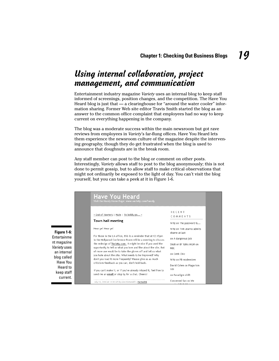#### Using internal collaboration, project management, and communication

Entertainment industry magazine *Variety* uses an internal blog to keep staff informed of screenings, position changes, and the competition. The Have You Heard blog is just that — a clearinghouse for "around the water cooler" information sharing. Former Web site editor Travis Smith started the blog as an answer to the common office complaint that employees had no way to keep current on everything happening in the company.

The blog was a moderate success within the main newsroom but got rave reviews from employees in *Variety*'s far-flung offices. Have You Heard lets them experience the newsroom culture of the magazine despite the intervening geography, though they do get frustrated when the blog is used to announce that doughnuts are in the break room.

Any staff member can post to the blog or comment on other posts. Interestingly, *Variety* allows staff to post to the blog anonymously; this is not done to permit gossip, but to allow staff to make critical observations that might not ordinarily be exposed to the light of day. You can't visit the blog yourself, but you can take a peek at it in Figure 1-6.

| <b>Have You Heard</b><br>Visit the Handy Home Page: www.variety.com/handy                                                          |                                            |
|------------------------------------------------------------------------------------------------------------------------------------|--------------------------------------------|
| « Out-of-towners   Main   To boldly go »                                                                                           | RECENT<br>COMMENTS                         |
| Town hall meeting                                                                                                                  | Witz on The password is                    |
| Hear ye! Hear ye!                                                                                                                  | Witz on THR Journo admits<br>shame at last |
| For those in the LA office, this is a reminder that at 12:15pm<br>in the Hollywood Conference Room will be a meeting to discuss    | on A dangerous job                         |
| the redesign of Variety.com. It might be nice if you used the<br>opportunity to tell us what you love and like about the site. But | Shali on BF talks MGM on<br>NRC.           |
| of more use would be to take the gloves off and tell us what<br>you hate about the site. What needs to be improved? Why            | on Geek Chic                               |
| don't you read it more frequently? Please give us as much<br>criticism/feedback as you can, don't hold back.                       | Witz on PR modernizes                      |
|                                                                                                                                    | David Cohen on Plagarism                   |
| If you can't make it, or if you've already missed it, feel free to                                                                 | 101                                        |
| send me an email or stop by for a chat. Cheers!                                                                                    | on Paradigm shift                          |
| July 13, 2004 at 12:00 AM by Alex Romanelli   Permalink                                                                            | Concerned fan on We                        |

**Figure 1-6:** Entertainme

nt magazine *Variety* uses an internal blog called Have You Heard to keep staff current.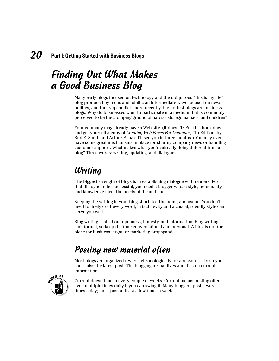# Finding Out What Makes a Good Business Blog

Many early blogs focused on technology and the ubiquitous "this-is-my-life" blog produced by teens and adults; an intermediate wave focused on news, politics, and the Iraq conflict; more recently, the hottest blogs are business blogs. Why do businesses want to participate in a medium that is commonly perceived to be the stomping ground of narcissists, egomaniacs, and children?

Your company may already have a Web site. (It doesn't? Put this book down, and get yourself a copy of *Creating Web Pages For Dummies,* 7th Edition, by Bud E. Smith and Arthur Bebak. I'll see you in three months.) You may even have some great mechanisms in place for sharing company news or handling customer support. What makes what you're already doing different from a blog? Three words: writing, updating, and dialogue.

# Writing

The biggest strength of blogs is in establishing dialogue with readers. For that dialogue to be successful, you need a blogger whose style, personality, and knowledge meet the needs of the audience.

Keeping the writing in your blog short, to –the point, and useful. You don't need to finely craft every word; in fact, levity and a casual, friendly style can serve you well.

Blog writing is all about openness, honesty, and information. Blog writing isn't formal, so keep the tone conversational and personal. A blog is not the place for business jargon or marketing propaganda.

# Posting new material often

Most blogs are organized reverse-chronologically for a reason — it's so you can't miss the latest post. The blogging format lives and dies on current information.



Current doesn't mean every couple of weeks. Current means posting often, even multiple times daily if you can swing it. Many bloggers post several times a day; most post at least a few times a week.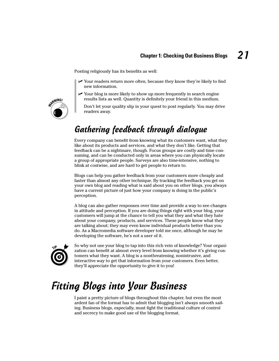Posting religiously has its benefits as well:

- Your readers return more often, because they know they're likely to find new information.
- $\blacktriangleright$  Your blog is more likely to show up more frequently in search engine results lists as well. Quantity is definitely your friend in this medium.



# Gathering feedback through dialogue

Every company can benefit from knowing what its customers want, what they like about its products and services, and what they don't like. Getting that feedback can be a nightmare, though. Focus groups are costly and time consuming, and can be conducted only in areas where you can physically locate a group of appropriate people. Surveys are also time-intensive, nothing to blink at costwise, and are hard to get people to return to.

Blogs can help you gather feedback from your customers more cheaply and faster than almost any other technique. By tracking the feedback you get on your own blog and reading what is said about you on other blogs, you always have a current picture of just how your company is doing in the public's perception.

A blog can also gather responses over time and provide a way to see changes in attitude and perception. If you are doing things right with your blog, your customers will jump at the chance to tell you what they and what they hate about your company, products, and services. These people know what they are talking about; they may even know individual products better than you do. As a Macromedia software developer told me once, although he may be developing the software, he's not a user of it.



So why not use your blog to tap into this rich vein of knowledge? Your organization can benefit at almost every level from knowing whether it's giving customers what they want. A blog is a nonthreatening, nonintrusive, and interactive way to get that information from your customers. Even better, they'll appreciate the opportunity to give it to you!

# Fitting Blogs into Your Business

I paint a pretty picture of blogs throughout this chapter, but even the most ardent fan of the format has to admit that blogging isn't always smooth sailing. Business blogs, especially, must fight the traditional culture of control and secrecy to make good use of the blogging format.

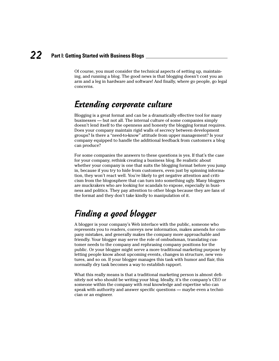Of course, you must consider the technical aspects of setting up, maintaining, and running a blog. The good news is that blogging doesn't cost you an arm and a leg in hardware and software! And finally, where go people, go legal concerns.

#### Extending corporate culture

Blogging is a great format and can be a dramatically effective tool for many businesses — but not all. The internal culture of some companies simply doesn't lend itself to the openness and honesty the blogging format requires. Does your company maintain rigid walls of secrecy between development groups? Is there a "need-to-know" attitude from upper management? Is your company equipped to handle the additional feedback from customers a blog can produce?

For some companies the answers to these questions is yes. If that's the case for your company, rethink creating a business blog. Be realistic about whether your company is one that suits the blogging format before you jump in, because if you try to hide from customers, even just by spinning information, they won't react well. You're likely to get negative attention and criticism from the blogosphere that can turn into something ugly. Many bloggers are muckrakers who are looking for scandals to expose, especially in business and politics. They pay attention to other blogs because they are fans of the format and they don't take kindly to manipulation of it.

# Finding a good blogger

A blogger is your company's Web interface with the public, someone who represents you to readers, conveys new information, makes amends for company mistakes, and generally makes the company more approachable and friendly. Your blogger may serve the role of ombudsman, translating customer needs to the company and rephrasing company positions for the public. Or your blogger might serve a more traditional marketing purpose by letting people know about upcoming events, changes in structure, new ventures, and so on. If your blogger manages this task with humor and flair, this normally dry task becomes a way to establish rapport.

What this really means is that a traditional marketing person is almost definitely not who should be writing your blog. Ideally, it's the company's CEO or someone within the company with real knowledge and expertise who can speak with authority and answer specific questions — maybe even a technician or an engineer.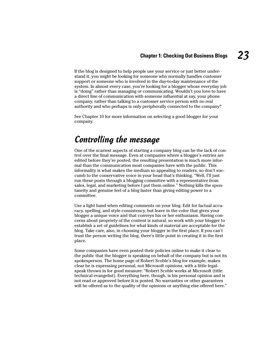If the blog is designed to help people use your service or just better understand it, you might be looking for someone who normally handles customer support or someone who is involved in the day-to-day maintenance of the system. In almost every case, you're looking for a blogger whose everyday job is "doing" rather than managing or communicating. Wouldn't you love to have a direct line of communication with someone influential at say, your phone company, rather than talking to a customer service person with no real authority and who perhaps is only peripherally connected to the company?

See Chapter 10 for more information on selecting a good blogger for your company.

#### Controlling the message

One of the scariest aspects of starting a company blog can be the lack of control over the final message. Even at companies where a blogger's entries are edited before they're posted, the resulting presentation is much more informal than the communication most companies have with the public. This informality is what makes the medium so appealing to readers, so don't succumb to the conservative voice in your head that's thinking, "Well, I'll just run these posts through a blogging committee with a representative from sales, legal, and marketing before I put them online." Nothing kills the spontaneity and genuine feel of a blog faster than giving editing power to a committee.

Use a light hand when editing comments on your blog. Edit for factual accuracy, spelling, and style consistency, but leave in the color that gives your blogger a unique voice and that conveys his or her enthusiasm. Having concerns about propriety of the content is natural, so work with your blogger to establish a set of guidelines for what kinds of material are acceptable for the blog. Take care, also, in choosing your blogger in the first place. If you can't trust the person writing the blog, there's little point in creating it in the first place.

Some companies have even posted their policies online to make it clear to the public that the blogger is speaking on behalf of the company but is not its spokesperson. The home page of Robert Scoble's blog for example, makes clear he is expressing personal, not Microsoft opinions, with a little legalspeak thrown in for good measure: "Robert Scoble works at Microsoft (title: technical evangelist). Everything here, though, is his personal opinion and is not read or approved before it is posted. No warranties or other guarantees will be offered as to the quality of the opinions or anything else offered here."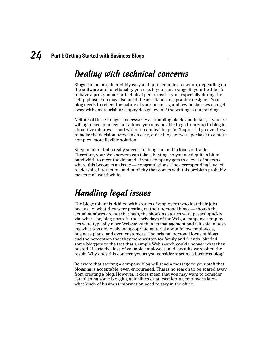# Dealing with technical concerns

Blogs can be both incredibly easy and quite complex to set up, depending on the software and functionality you use. If you can arrange it, your best bet is to have a programmer or technical person assist you, especially during the setup phase. You may also need the assistance of a graphic designer. Your blog needs to reflect the nature of your business, and few businesses can get away with amateurish or sloppy design, even if the writing is outstanding.

Neither of these things is necessarily a stumbling block, and in fact, if you are willing to accept a few limitations, you may be able to go from zero to blog in about five minutes — and without technical help. In Chapter 4, I go over how to make the decision between an easy, quick blog software package to a more complex, more flexible solution.

Keep in mind that a really successful blog can pull in loads of traffic. Therefore, your Web servers can take a beating, so you need quite a bit of bandwidth to meet the demand. If your company gets to a level of success where this becomes an issue — congratulations! The corresponding level of readership, interaction, and publicity that comes with this problem probably makes it all worthwhile.

# Handling legal issues

The blogosphere is riddled with stories of employees who lost their jobs because of what they were posting on their personal blogs — though the actual numbers are not that high, the shocking stories were passed quickly via, what else, blog posts. In the early days of the Web, a company's employees were typically more Web-savvy than its management and felt safe in posting what was obviously inappropriate material about fellow employees, business plans, and even customers. The original personal focus of blogs, and the perception that they were written for family and friends, blinded some bloggers to the fact that a simple Web search could uncover what they posted. Heartache, loss of valuable employees, and lawsuits were often the result. Why does this concern you as you consider starting a business blog?

Be aware that starting a company blog will send a message to your staff that blogging is acceptable, even encouraged. This is no reason to be scared away from creating a blog. However, it does mean that you may want to consider establishing some blogging guidelines or at least letting employees know what kinds of business information need to stay in the office.